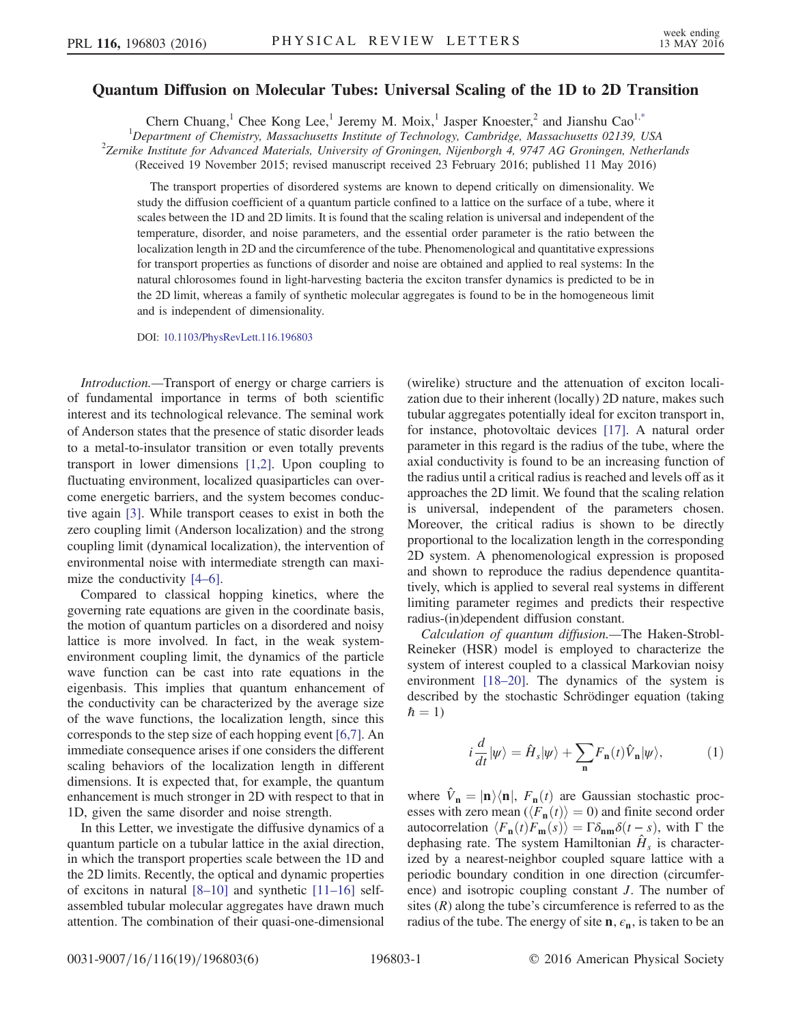## <span id="page-0-1"></span>Quantum Diffusion on Molecular Tubes: Universal Scaling of the 1D to 2D Transition

Chern Chuang,<sup>1</sup> Chee Kong Lee,<sup>1</sup> Jeremy M. Moix,<sup>1</sup> Jasper Knoester,<sup>2</sup> and Jianshu Cao<sup>1[,\\*](#page-4-0)</sup>

<sup>1</sup>Department of Chemistry, Massachusetts Institute of Technology, Cambridge, Massachusetts 02139, USA<br><sup>2</sup>Zemika Institute for Advanced Materials, University of Cropinean, Nijephonek 4, 0747, AC Cropinean, Nether  $2$ Zernike Institute for Advanced Materials, University of Groningen, Nijenborgh 4, 9747 AG Groningen, Netherlands

(Received 19 November 2015; revised manuscript received 23 February 2016; published 11 May 2016)

The transport properties of disordered systems are known to depend critically on dimensionality. We study the diffusion coefficient of a quantum particle confined to a lattice on the surface of a tube, where it scales between the 1D and 2D limits. It is found that the scaling relation is universal and independent of the temperature, disorder, and noise parameters, and the essential order parameter is the ratio between the localization length in 2D and the circumference of the tube. Phenomenological and quantitative expressions for transport properties as functions of disorder and noise are obtained and applied to real systems: In the natural chlorosomes found in light-harvesting bacteria the exciton transfer dynamics is predicted to be in the 2D limit, whereas a family of synthetic molecular aggregates is found to be in the homogeneous limit and is independent of dimensionality.

DOI: [10.1103/PhysRevLett.116.196803](http://dx.doi.org/10.1103/PhysRevLett.116.196803)

Introduction.—Transport of energy or charge carriers is of fundamental importance in terms of both scientific interest and its technological relevance. The seminal work of Anderson states that the presence of static disorder leads to a metal-to-insulator transition or even totally prevents transport in lower dimensions [\[1,2\].](#page-4-1) Upon coupling to fluctuating environment, localized quasiparticles can overcome energetic barriers, and the system becomes conductive again [\[3\]](#page-4-2). While transport ceases to exist in both the zero coupling limit (Anderson localization) and the strong coupling limit (dynamical localization), the intervention of environmental noise with intermediate strength can maxi-mize the conductivity [4–[6\]](#page-4-3).

Compared to classical hopping kinetics, where the governing rate equations are given in the coordinate basis, the motion of quantum particles on a disordered and noisy lattice is more involved. In fact, in the weak systemenvironment coupling limit, the dynamics of the particle wave function can be cast into rate equations in the eigenbasis. This implies that quantum enhancement of the conductivity can be characterized by the average size of the wave functions, the localization length, since this corresponds to the step size of each hopping event [\[6,7\]](#page-4-4). An immediate consequence arises if one considers the different scaling behaviors of the localization length in different dimensions. It is expected that, for example, the quantum enhancement is much stronger in 2D with respect to that in 1D, given the same disorder and noise strength.

In this Letter, we investigate the diffusive dynamics of a quantum particle on a tubular lattice in the axial direction, in which the transport properties scale between the 1D and the 2D limits. Recently, the optical and dynamic properties of excitons in natural [8–[10\]](#page-4-5) and synthetic [11–[16\]](#page-4-6) selfassembled tubular molecular aggregates have drawn much attention. The combination of their quasi-one-dimensional (wirelike) structure and the attenuation of exciton localization due to their inherent (locally) 2D nature, makes such tubular aggregates potentially ideal for exciton transport in, for instance, photovoltaic devices [\[17\].](#page-4-7) A natural order parameter in this regard is the radius of the tube, where the axial conductivity is found to be an increasing function of the radius until a critical radius is reached and levels off as it approaches the 2D limit. We found that the scaling relation is universal, independent of the parameters chosen. Moreover, the critical radius is shown to be directly proportional to the localization length in the corresponding 2D system. A phenomenological expression is proposed and shown to reproduce the radius dependence quantitatively, which is applied to several real systems in different limiting parameter regimes and predicts their respective radius-(in)dependent diffusion constant.

<span id="page-0-0"></span>Calculation of quantum diffusion.—The Haken-Strobl-Reineker (HSR) model is employed to characterize the system of interest coupled to a classical Markovian noisy environment [\[18](#page-4-8)–20]. The dynamics of the system is described by the stochastic Schrödinger equation (taking  $\hbar = 1$ 

$$
i\frac{d}{dt}|\psi\rangle = \hat{H}_s|\psi\rangle + \sum_{\mathbf{n}} F_{\mathbf{n}}(t)\hat{V}_{\mathbf{n}}|\psi\rangle, \tag{1}
$$

where  $\hat{V}_n = |\mathbf{n}\rangle\langle\mathbf{n}|$ ,  $F_n(t)$  are Gaussian stochastic processes with zero mean  $\langle \overline{F_n}(t) \rangle = 0$  and finite second order autocorrelation  $\langle F_n(t)F_m(s)\rangle = \Gamma\delta_{nm}\delta(t-s)$ , with  $\Gamma$  the dephasing rate. The system Hamiltonian  $H<sub>s</sub>$  is characterized by a nearest-neighbor coupled square lattice with a periodic boundary condition in one direction (circumference) and isotropic coupling constant J. The number of sites  $(R)$  along the tube's circumference is referred to as the radius of the tube. The energy of site  $n, \epsilon_n$ , is taken to be an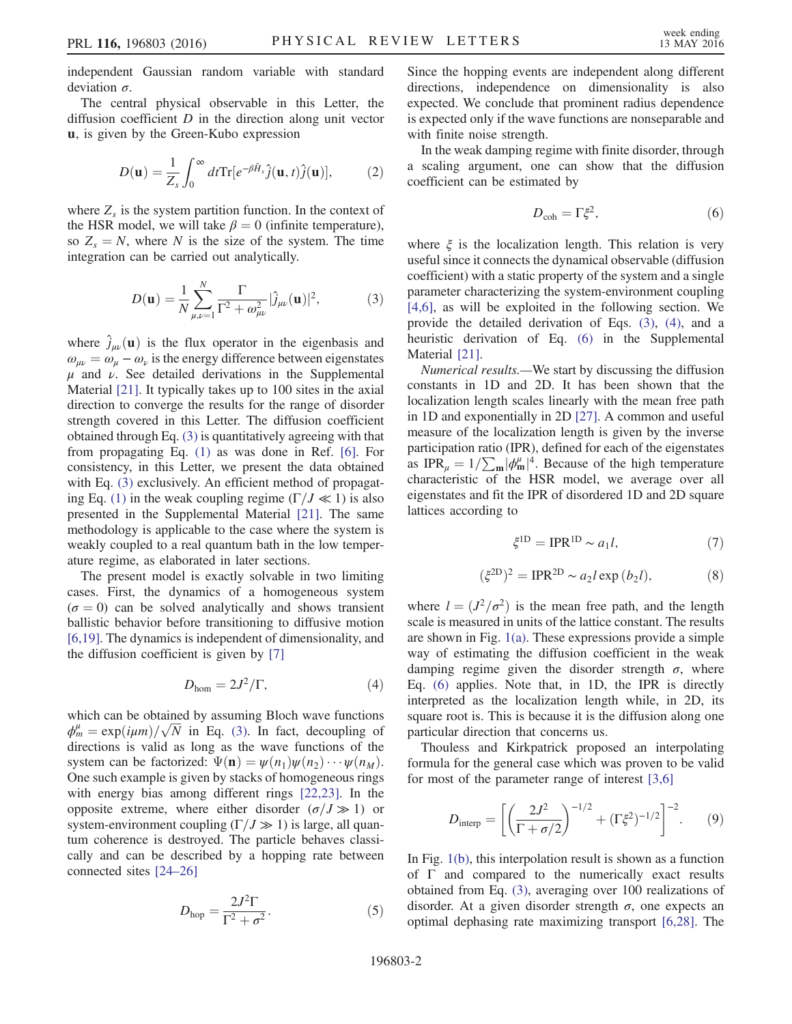independent Gaussian random variable with standard deviation  $\sigma$ .

The central physical observable in this Letter, the diffusion coefficient  $D$  in the direction along unit vector u, is given by the Green-Kubo expression

$$
D(\mathbf{u}) = \frac{1}{Z_s} \int_0^\infty dt \text{Tr} [e^{-\beta \hat{H}_s} \hat{j}(\mathbf{u}, t) \hat{j}(\mathbf{u})],\tag{2}
$$

<span id="page-1-0"></span>where  $Z_s$  is the system partition function. In the context of the HSR model, we will take  $\beta = 0$  (infinite temperature), so  $Z_s = N$ , where N is the size of the system. The time integration can be carried out analytically.

$$
D(\mathbf{u}) = \frac{1}{N} \sum_{\mu,\nu=1}^{N} \frac{\Gamma}{\Gamma^2 + \omega_{\mu\nu}^2} |\hat{j}_{\mu\nu}(\mathbf{u})|^2, \tag{3}
$$

where  $\hat{j}_{\mu\nu}(\mathbf{u})$  is the flux operator in the eigenbasis and  $\omega_{\mu\nu} = \omega_{\mu} - \omega_{\nu}$  is the energy difference between eigenstates  $\mu$  and  $\nu$ . See detailed derivations in the Supplemental Material [\[21\]](#page-4-9). It typically takes up to 100 sites in the axial direction to converge the results for the range of disorder strength covered in this Letter. The diffusion coefficient obtained through Eq. [\(3\)](#page-1-0) is quantitatively agreeing with that from propagating Eq. [\(1\)](#page-0-0) as was done in Ref. [\[6\]](#page-4-4). For consistency, in this Letter, we present the data obtained with Eq. [\(3\)](#page-1-0) exclusively. An efficient method of propagat-ing Eq. [\(1\)](#page-0-0) in the weak coupling regime ( $\Gamma/J \ll 1$ ) is also presented in the Supplemental Material [\[21\].](#page-4-9) The same methodology is applicable to the case where the system is weakly coupled to a real quantum bath in the low temperature regime, as elaborated in later sections.

The present model is exactly solvable in two limiting cases. First, the dynamics of a homogeneous system  $(\sigma = 0)$  can be solved analytically and shows transient ballistic behavior before transitioning to diffusive motion [\[6,19\]](#page-4-4). The dynamics is independent of dimensionality, and the diffusion coefficient is given by [\[7\]](#page-4-10)

$$
D_{\text{hom}} = 2J^2/\Gamma, \tag{4}
$$

<span id="page-1-1"></span>which can be obtained by assuming Bloch wave functions  $\phi_m^{\mu} = \exp(i\mu m)/\sqrt{N}$  in Eq. [\(3\)](#page-1-0). In fact, decoupling of directions is valid as long as the wave functions of the system can be factorized:  $\Psi(\mathbf{n}) = \psi(n_1)\psi(n_2)\cdots\psi(n_M)$ . One such example is given by stacks of homogeneous rings with energy bias among different rings [\[22,23\]](#page-4-11). In the opposite extreme, where either disorder  $(\sigma/J \gg 1)$  or system-environment coupling  $(\Gamma/J \gg 1)$  is large, all quantum coherence is destroyed. The particle behaves classically and can be described by a hopping rate between connected sites [24–[26\]](#page-4-12)

$$
D_{\rm hop} = \frac{2J^2\Gamma}{\Gamma^2 + \sigma^2}.
$$
 (5)

Since the hopping events are independent along different directions, independence on dimensionality is also expected. We conclude that prominent radius dependence is expected only if the wave functions are nonseparable and with finite noise strength.

<span id="page-1-2"></span>In the weak damping regime with finite disorder, through a scaling argument, one can show that the diffusion coefficient can be estimated by

$$
D_{\rm coh} = \Gamma \xi^2, \tag{6}
$$

where  $\xi$  is the localization length. This relation is very useful since it connects the dynamical observable (diffusion coefficient) with a static property of the system and a single parameter characterizing the system-environment coupling [\[4,6\],](#page-4-3) as will be exploited in the following section. We provide the detailed derivation of Eqs. [\(3\)](#page-1-0), [\(4\),](#page-1-1) and a heuristic derivation of Eq. [\(6\)](#page-1-2) in the Supplemental Material [\[21\].](#page-4-9)

Numerical results.—We start by discussing the diffusion constants in 1D and 2D. It has been shown that the localization length scales linearly with the mean free path in 1D and exponentially in 2D [\[27\].](#page-4-13) A common and useful measure of the localization length is given by the inverse participation ratio (IPR), defined for each of the eigenstates as IPR<sub>μ</sub> =  $1/\sum_{m} |\phi_{m}^{\mu}|^4$ . Because of the high temperature characteristic of the HSR model, we average over all eigenstates and fit the IPR of disordered 1D and 2D square lattices according to

$$
\xi^{\rm 1D} = \text{IPR}^{\rm 1D} \sim a_1 l,\tag{7}
$$

<span id="page-1-4"></span>
$$
(\xi^{\text{2D}})^2 = \text{IPR}^{\text{2D}} \sim a_2 l \exp(b_2 l),\tag{8}
$$

<span id="page-1-5"></span>where  $l = (J^2/\sigma^2)$  is the mean free path, and the length scale is measured in units of the lattice constant. The results are shown in Fig. [1\(a\).](#page-2-0) These expressions provide a simple way of estimating the diffusion coefficient in the weak damping regime given the disorder strength  $\sigma$ , where Eq. [\(6\)](#page-1-2) applies. Note that, in 1D, the IPR is directly interpreted as the localization length while, in 2D, its square root is. This is because it is the diffusion along one particular direction that concerns us.

<span id="page-1-3"></span>Thouless and Kirkpatrick proposed an interpolating formula for the general case which was proven to be valid for most of the parameter range of interest [\[3,6\]](#page-4-2)

$$
D_{\text{interp}} = \left[ \left( \frac{2J^2}{\Gamma + \sigma/2} \right)^{-1/2} + (\Gamma \xi^2)^{-1/2} \right]^{-2}.
$$
 (9)

In Fig. [1\(b\),](#page-2-0) this interpolation result is shown as a function of Γ and compared to the numerically exact results obtained from Eq. [\(3\)](#page-1-0), averaging over 100 realizations of disorder. At a given disorder strength  $\sigma$ , one expects an optimal dephasing rate maximizing transport [\[6,28\].](#page-4-4) The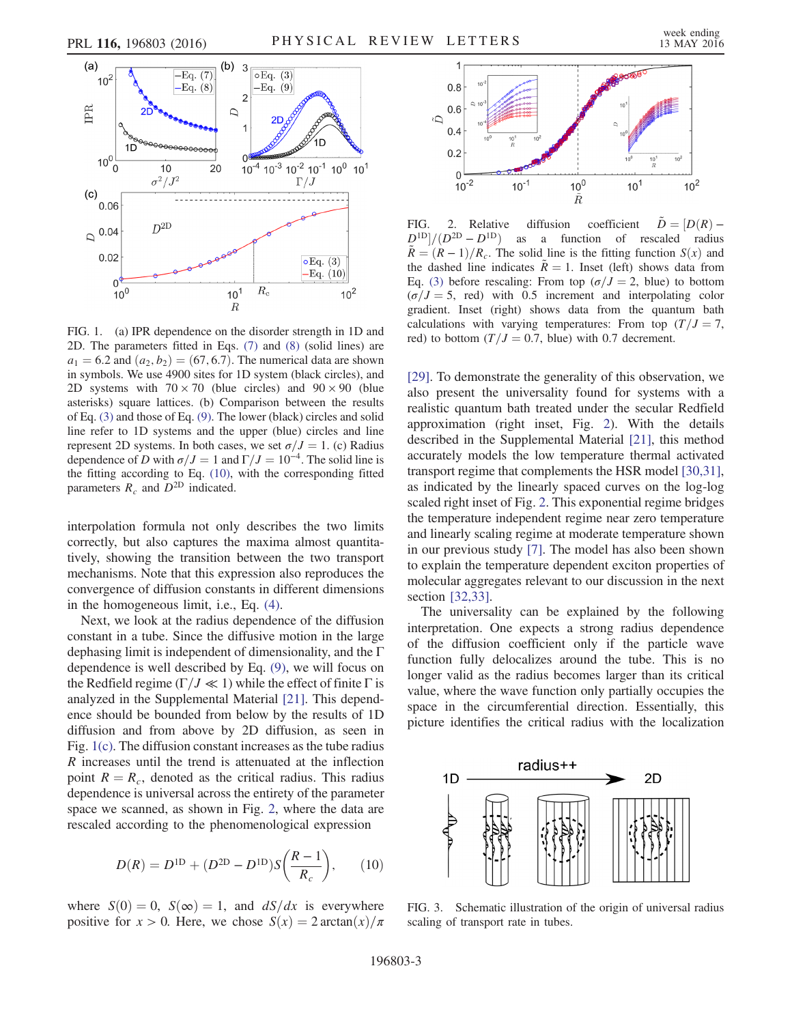<span id="page-2-0"></span>

FIG. 1. (a) IPR dependence on the disorder strength in 1D and 2D. The parameters fitted in Eqs. [\(7\)](#page-1-4) and [\(8\)](#page-1-5) (solid lines) are  $a_1 = 6.2$  and  $(a_2, b_2) = (67, 6.7)$ . The numerical data are shown in symbols. We use 4900 sites for 1D system (black circles), and 2D systems with  $70 \times 70$  (blue circles) and  $90 \times 90$  (blue asterisks) square lattices. (b) Comparison between the results of Eq. [\(3\)](#page-1-0) and those of Eq. [\(9\)](#page-1-3). The lower (black) circles and solid line refer to 1D systems and the upper (blue) circles and line represent 2D systems. In both cases, we set  $\sigma/J = 1$ . (c) Radius dependence of D with  $\sigma/J = 1$  and  $\Gamma/J = 10^{-4}$ . The solid line is the fitting according to Eq. [\(10\),](#page-2-2) with the corresponding fitted parameters  $R_c$  and  $D^{2D}$  indicated.

interpolation formula not only describes the two limits correctly, but also captures the maxima almost quantitatively, showing the transition between the two transport mechanisms. Note that this expression also reproduces the convergence of diffusion constants in different dimensions in the homogeneous limit, i.e., Eq. [\(4\)](#page-1-1).

Next, we look at the radius dependence of the diffusion constant in a tube. Since the diffusive motion in the large dephasing limit is independent of dimensionality, and the Γ dependence is well described by Eq. [\(9\),](#page-1-3) we will focus on the Redfield regime ( $\Gamma/J \ll 1$ ) while the effect of finite  $\Gamma$  is analyzed in the Supplemental Material [\[21\].](#page-4-9) This dependence should be bounded from below by the results of 1D diffusion and from above by 2D diffusion, as seen in Fig. [1\(c\)](#page-2-0). The diffusion constant increases as the tube radius R increases until the trend is attenuated at the inflection point  $R = R_c$ , denoted as the critical radius. This radius dependence is universal across the entirety of the parameter space we scanned, as shown in Fig. [2,](#page-2-1) where the data are rescaled according to the phenomenological expression

<span id="page-2-2"></span>
$$
D(R) = D1D + (D2D – D1D)S\left(\frac{R-1}{R_c}\right), \qquad (10)
$$

where  $S(0) = 0$ ,  $S(\infty) = 1$ , and  $dS/dx$  is everywhere positive for  $x > 0$ . Here, we chose  $S(x) = 2 \arctan(x)/\pi$ 

<span id="page-2-1"></span>

FIG. 2. Relative diffusion coefficient  $\ddot{D} = [D(R) D^{\rm {1D}}]/(D^{\rm {2D}}-D^{\rm {1D}})$ as a function of rescaled radius  $\tilde{R} = (R - 1)/R_c$ . The solid line is the fitting function  $S(x)$  and the dashed line indicates  $\tilde{R} = 1$ . Inset (left) shows data from Eq. [\(3\)](#page-1-0) before rescaling: From top ( $\sigma/J=2$ , blue) to bottom  $(\sigma/J=5, \text{ red})$  with 0.5 increment and interpolating color gradient. Inset (right) shows data from the quantum bath calculations with varying temperatures: From top  $(T/J=7,$ red) to bottom  $(T/J = 0.7,$  blue) with 0.7 decrement.

[\[29\]](#page-4-14). To demonstrate the generality of this observation, we also present the universality found for systems with a realistic quantum bath treated under the secular Redfield approximation (right inset, Fig. [2\)](#page-2-1). With the details described in the Supplemental Material [\[21\],](#page-4-9) this method accurately models the low temperature thermal activated transport regime that complements the HSR model [\[30,31\]](#page-4-15), as indicated by the linearly spaced curves on the log-log scaled right inset of Fig. [2](#page-2-1). This exponential regime bridges the temperature independent regime near zero temperature and linearly scaling regime at moderate temperature shown in our previous study [\[7\]](#page-4-10). The model has also been shown to explain the temperature dependent exciton properties of molecular aggregates relevant to our discussion in the next section [\[32,33\]](#page-4-16).

The universality can be explained by the following interpretation. One expects a strong radius dependence of the diffusion coefficient only if the particle wave function fully delocalizes around the tube. This is no longer valid as the radius becomes larger than its critical value, where the wave function only partially occupies the space in the circumferential direction. Essentially, this picture identifies the critical radius with the localization

<span id="page-2-3"></span>

FIG. 3. Schematic illustration of the origin of universal radius scaling of transport rate in tubes.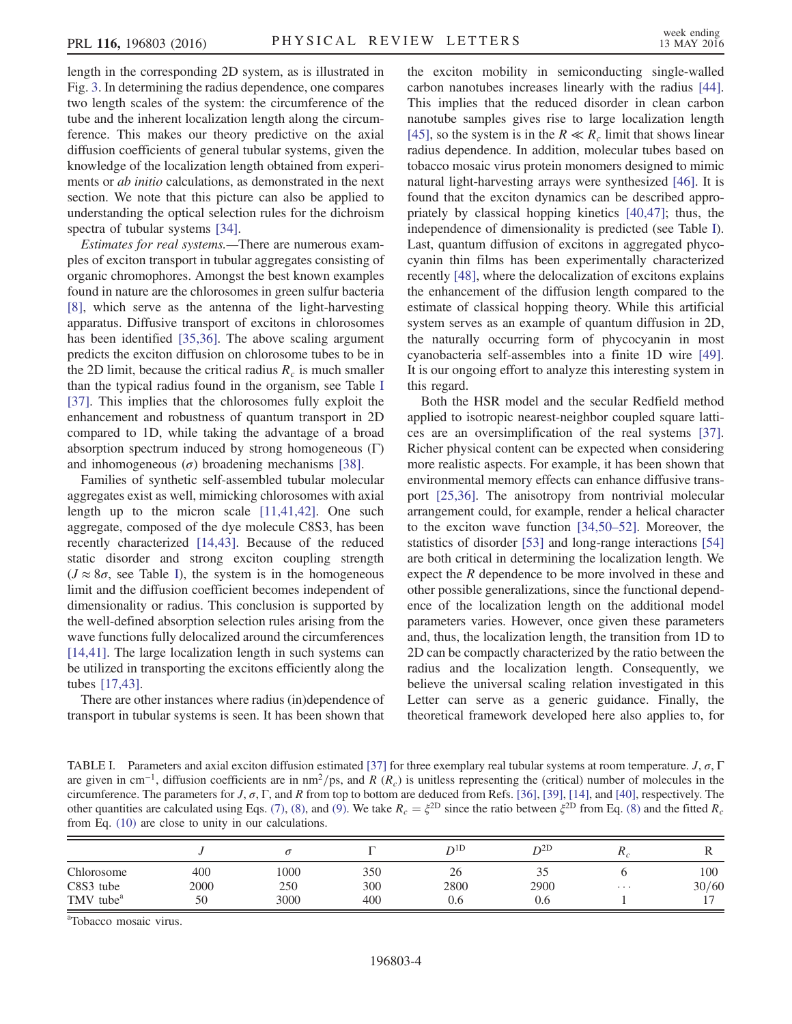length in the corresponding 2D system, as is illustrated in Fig. [3.](#page-2-3) In determining the radius dependence, one compares two length scales of the system: the circumference of the tube and the inherent localization length along the circumference. This makes our theory predictive on the axial diffusion coefficients of general tubular systems, given the knowledge of the localization length obtained from experiments or *ab initio* calculations, as demonstrated in the next section. We note that this picture can also be applied to understanding the optical selection rules for the dichroism spectra of tubular systems [\[34\].](#page-4-17)

Estimates for real systems.—There are numerous examples of exciton transport in tubular aggregates consisting of organic chromophores. Amongst the best known examples found in nature are the chlorosomes in green sulfur bacteria [\[8\]](#page-4-5), which serve as the antenna of the light-harvesting apparatus. Diffusive transport of excitons in chlorosomes has been identified [\[35,36\]](#page-4-18). The above scaling argument predicts the exciton diffusion on chlorosome tubes to be in the 2D limit, because the critical radius  $R_c$  is much smaller than the typical radius found in the organism, see Table [I](#page-3-0) [\[37\]](#page-4-19). This implies that the chlorosomes fully exploit the enhancement and robustness of quantum transport in 2D compared to 1D, while taking the advantage of a broad absorption spectrum induced by strong homogeneous (Γ) and inhomogeneous  $(\sigma)$  broadening mechanisms [\[38\]](#page-4-20).

Families of synthetic self-assembled tubular molecular aggregates exist as well, mimicking chlorosomes with axial length up to the micron scale [\[11,41,42\]](#page-4-6). One such aggregate, composed of the dye molecule C8S3, has been recently characterized [\[14,43\]](#page-4-21). Because of the reduced static disorder and strong exciton coupling strength  $(J \approx 8\sigma, \text{ see Table I})$  $(J \approx 8\sigma, \text{ see Table I})$  $(J \approx 8\sigma, \text{ see Table I})$ , the system is in the homogeneous limit and the diffusion coefficient becomes independent of dimensionality or radius. This conclusion is supported by the well-defined absorption selection rules arising from the wave functions fully delocalized around the circumferences [\[14,41\]](#page-4-21). The large localization length in such systems can be utilized in transporting the excitons efficiently along the tubes [\[17,43\]](#page-4-7).

There are other instances where radius (in)dependence of transport in tubular systems is seen. It has been shown that the exciton mobility in semiconducting single-walled carbon nanotubes increases linearly with the radius [\[44\]](#page-5-0). This implies that the reduced disorder in clean carbon nanotube samples gives rise to large localization length [\[45\]](#page-5-1), so the system is in the  $R \ll R_c$  limit that shows linear radius dependence. In addition, molecular tubes based on tobacco mosaic virus protein monomers designed to mimic natural light-harvesting arrays were synthesized [\[46\]](#page-5-2). It is found that the exciton dynamics can be described appropriately by classical hopping kinetics [\[40,47\]](#page-5-3); thus, the independence of dimensionality is predicted (see Table [I](#page-3-0)). Last, quantum diffusion of excitons in aggregated phycocyanin thin films has been experimentally characterized recently [\[48\]](#page-5-4), where the delocalization of excitons explains the enhancement of the diffusion length compared to the estimate of classical hopping theory. While this artificial system serves as an example of quantum diffusion in 2D, the naturally occurring form of phycocyanin in most cyanobacteria self-assembles into a finite 1D wire [\[49\]](#page-5-5). It is our ongoing effort to analyze this interesting system in this regard.

Both the HSR model and the secular Redfield method applied to isotropic nearest-neighbor coupled square lattices are an oversimplification of the real systems [\[37\]](#page-4-19). Richer physical content can be expected when considering more realistic aspects. For example, it has been shown that environmental memory effects can enhance diffusive transport [\[25,36\].](#page-4-22) The anisotropy from nontrivial molecular arrangement could, for example, render a helical character to the exciton wave function [\[34,50](#page-4-17)–52]. Moreover, the statistics of disorder [\[53\]](#page-5-6) and long-range interactions [\[54\]](#page-5-7) are both critical in determining the localization length. We expect the  $R$  dependence to be more involved in these and other possible generalizations, since the functional dependence of the localization length on the additional model parameters varies. However, once given these parameters and, thus, the localization length, the transition from 1D to 2D can be compactly characterized by the ratio between the radius and the localization length. Consequently, we believe the universal scaling relation investigated in this Letter can serve as a generic guidance. Finally, the theoretical framework developed here also applies to, for

<span id="page-3-0"></span>TABLE I. Parameters and axial exciton diffusion estimated [\[37\]](#page-4-19) for three exemplary real tubular systems at room temperature. J,  $\sigma$ ,  $\Gamma$ are given in cm<sup>-1</sup>, diffusion coefficients are in nm<sup>2</sup>/ps, and R (R<sub>c</sub>) is unitless representing the (critical) number of molecules in the circumference. The parameters for  $J$ ,  $\sigma$ ,  $\Gamma$ , and R from top to bottom are deduced from Refs. [\[36\]](#page-4-23), [\[39\]](#page-5-8), [\[14\],](#page-4-21) and [\[40\],](#page-5-3) respectively. The other quantities are calculated using Eqs. [\(7\)](#page-1-4), [\(8\),](#page-1-5) and [\(9\).](#page-1-3) We take  $R_c = \xi^{2D}$  since the ratio between  $\xi^{2D}$  from Eq. [\(8\)](#page-1-5) and the fitted  $R_c$ from Eq. [\(10\)](#page-2-2) are close to unity in our calculations.

|                         |             |             |            | $D^{1D}$   | $D^{2D}$    | $\mathbf{u}$ |              |
|-------------------------|-------------|-------------|------------|------------|-------------|--------------|--------------|
| Chlorosome<br>C8S3 tube | 400<br>2000 | 1000<br>250 | 350<br>300 | 26<br>2800 | ں ر<br>2900 | $\cdots$     | 100<br>30/60 |
| TMV tube <sup>a</sup>   | 50          | 3000        | 400        | 0.6        | 0.6         |              |              |

a Tobacco mosaic virus.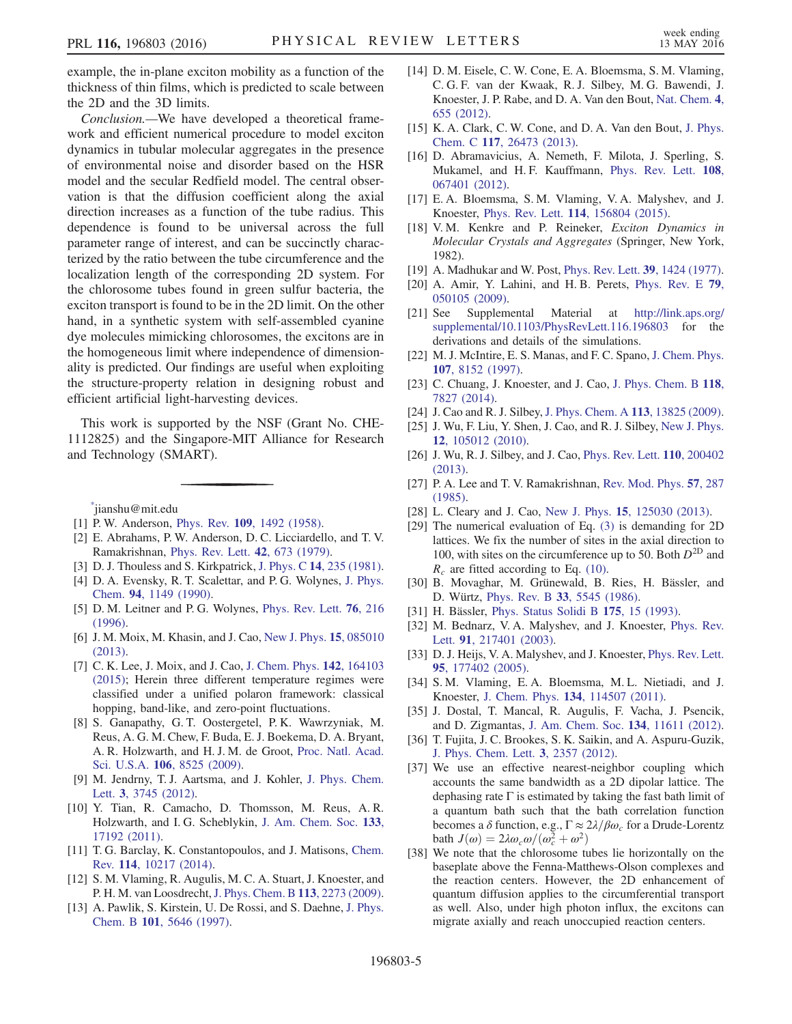example, the in-plane exciton mobility as a function of the thickness of thin films, which is predicted to scale between the 2D and the 3D limits.

Conclusion.—We have developed a theoretical framework and efficient numerical procedure to model exciton dynamics in tubular molecular aggregates in the presence of environmental noise and disorder based on the HSR model and the secular Redfield model. The central observation is that the diffusion coefficient along the axial direction increases as a function of the tube radius. This dependence is found to be universal across the full parameter range of interest, and can be succinctly characterized by the ratio between the tube circumference and the localization length of the corresponding 2D system. For the chlorosome tubes found in green sulfur bacteria, the exciton transport is found to be in the 2D limit. On the other hand, in a synthetic system with self-assembled cyanine dye molecules mimicking chlorosomes, the excitons are in the homogeneous limit where independence of dimensionality is predicted. Our findings are useful when exploiting the structure-property relation in designing robust and efficient artificial light-harvesting devices.

This work is supported by the NSF (Grant No. CHE-1112825) and the Singapore-MIT Alliance for Research and Technology (SMART).

<span id="page-4-0"></span>[\\*](#page-0-1) jianshu@mit.edu

- <span id="page-4-1"></span>[1] P. W. Anderson, Phys. Rev. 109[, 1492 \(1958\)](http://dx.doi.org/10.1103/PhysRev.109.1492).
- [2] E. Abrahams, P. W. Anderson, D. C. Licciardello, and T. V. Ramakrishnan, [Phys. Rev. Lett.](http://dx.doi.org/10.1103/PhysRevLett.42.673) 42, 673 (1979).
- <span id="page-4-3"></span><span id="page-4-2"></span>[3] D. J. Thouless and S. Kirkpatrick, J. Phys. C 14[, 235 \(1981\).](http://dx.doi.org/10.1088/0022-3719/14/3/007)
- [4] D. A. Evensky, R. T. Scalettar, and P. G. Wolynes, [J. Phys.](http://dx.doi.org/10.1021/j100366a027) Chem. 94[, 1149 \(1990\).](http://dx.doi.org/10.1021/j100366a027)
- [5] D. M. Leitner and P. G. Wolynes, [Phys. Rev. Lett.](http://dx.doi.org/10.1103/PhysRevLett.76.216) **76**, 216 [\(1996\).](http://dx.doi.org/10.1103/PhysRevLett.76.216)
- <span id="page-4-4"></span>[6] J. M. Moix, M. Khasin, and J. Cao, [New J. Phys.](http://dx.doi.org/10.1088/1367-2630/15/8/085010) **15**, 085010 [\(2013\).](http://dx.doi.org/10.1088/1367-2630/15/8/085010)
- <span id="page-4-10"></span>[7] C. K. Lee, J. Moix, and J. Cao, [J. Chem. Phys.](http://dx.doi.org/10.1063/1.4918736) 142, 164103 [\(2015\);](http://dx.doi.org/10.1063/1.4918736) Herein three different temperature regimes were classified under a unified polaron framework: classical hopping, band-like, and zero-point fluctuations.
- <span id="page-4-5"></span>[8] S. Ganapathy, G. T. Oostergetel, P. K. Wawrzyniak, M. Reus, A. G. M. Chew, F. Buda, E. J. Boekema, D. A. Bryant, A. R. Holzwarth, and H. J. M. de Groot, [Proc. Natl. Acad.](http://dx.doi.org/10.1073/pnas.0903534106) Sci. U.S.A. 106[, 8525 \(2009\)](http://dx.doi.org/10.1073/pnas.0903534106).
- [9] M. Jendrny, T. J. Aartsma, and J. Kohler, [J. Phys. Chem.](http://dx.doi.org/10.1021/jz301808h) Lett. 3[, 3745 \(2012\)](http://dx.doi.org/10.1021/jz301808h).
- [10] Y. Tian, R. Camacho, D. Thomsson, M. Reus, A. R. Holzwarth, and I. G. Scheblykin, [J. Am. Chem. Soc.](http://dx.doi.org/10.1021/ja2019959) 133, [17192 \(2011\).](http://dx.doi.org/10.1021/ja2019959)
- <span id="page-4-6"></span>[11] T. G. Barclay, K. Constantopoulos, and J. Matisons, [Chem.](http://dx.doi.org/10.1021/cr400085m) Rev. 114[, 10217 \(2014\)](http://dx.doi.org/10.1021/cr400085m).
- [12] S. M. Vlaming, R. Augulis, M. C. A. Stuart, J. Knoester, and P. H. M. van Loosdrecht,[J. Phys. Chem. B](http://dx.doi.org/10.1021/jp808235c) 113, 2273 (2009).
- [13] A. Pawlik, S. Kirstein, U. De Rossi, and S. Daehne, [J. Phys.](http://dx.doi.org/10.1021/jp9708308) Chem. B 101[, 5646 \(1997\)](http://dx.doi.org/10.1021/jp9708308).
- <span id="page-4-21"></span>[14] D. M. Eisele, C. W. Cone, E. A. Bloemsma, S. M. Vlaming, C. G. F. van der Kwaak, R. J. Silbey, M. G. Bawendi, J. Knoester, J. P. Rabe, and D. A. Van den Bout, [Nat. Chem.](http://dx.doi.org/10.1038/nchem.1380) 4, [655 \(2012\)](http://dx.doi.org/10.1038/nchem.1380).
- [15] K. A. Clark, C. W. Cone, and D. A. Van den Bout, [J. Phys.](http://dx.doi.org/10.1021/jp409573h) Chem. C 117[, 26473 \(2013\).](http://dx.doi.org/10.1021/jp409573h)
- [16] D. Abramavicius, A. Nemeth, F. Milota, J. Sperling, S. Mukamel, and H. F. Kauffmann, [Phys. Rev. Lett.](http://dx.doi.org/10.1103/PhysRevLett.108.067401) 108, [067401 \(2012\).](http://dx.doi.org/10.1103/PhysRevLett.108.067401)
- <span id="page-4-7"></span>[17] E. A. Bloemsma, S. M. Vlaming, V. A. Malyshev, and J. Knoester, Phys. Rev. Lett. 114[, 156804 \(2015\)](http://dx.doi.org/10.1103/PhysRevLett.114.156804).
- <span id="page-4-8"></span>[18] V.M. Kenkre and P. Reineker, Exciton Dynamics in Molecular Crystals and Aggregates (Springer, New York, 1982).
- [19] A. Madhukar and W. Post, [Phys. Rev. Lett.](http://dx.doi.org/10.1103/PhysRevLett.39.1424) **39**, 1424 (1977).
- [20] A. Amir, Y. Lahini, and H. B. Perets, [Phys. Rev. E](http://dx.doi.org/10.1103/PhysRevE.79.050105) 79, [050105 \(2009\).](http://dx.doi.org/10.1103/PhysRevE.79.050105)
- <span id="page-4-9"></span>[21] See Supplemental Material at [http://link.aps.org/](http://link.aps.org/supplemental/10.1103/PhysRevLett.116.196803) [supplemental/10.1103/PhysRevLett.116.196803](http://link.aps.org/supplemental/10.1103/PhysRevLett.116.196803) for the derivations and details of the simulations.
- <span id="page-4-11"></span>[22] M. J. McIntire, E. S. Manas, and F. C. Spano, [J. Chem. Phys.](http://dx.doi.org/10.1063/1.475079) 107[, 8152 \(1997\)](http://dx.doi.org/10.1063/1.475079).
- [23] C. Chuang, J. Knoester, and J. Cao, [J. Phys. Chem. B](http://dx.doi.org/10.1021/jp4124502) 118, [7827 \(2014\)](http://dx.doi.org/10.1021/jp4124502).
- <span id="page-4-12"></span>[24] J. Cao and R. J. Silbey, [J. Phys. Chem. A](http://dx.doi.org/10.1021/jp9032589) 113, 13825 (2009).
- <span id="page-4-22"></span>[25] J. Wu, F. Liu, Y. Shen, J. Cao, and R. J. Silbey, [New J. Phys.](http://dx.doi.org/10.1088/1367-2630/12/10/105012) 12[, 105012 \(2010\).](http://dx.doi.org/10.1088/1367-2630/12/10/105012)
- [26] J. Wu, R. J. Silbey, and J. Cao, [Phys. Rev. Lett.](http://dx.doi.org/10.1103/PhysRevLett.110.200402) 110, 200402 [\(2013\).](http://dx.doi.org/10.1103/PhysRevLett.110.200402)
- <span id="page-4-13"></span>[27] P. A. Lee and T. V. Ramakrishnan, [Rev. Mod. Phys.](http://dx.doi.org/10.1103/RevModPhys.57.287) 57, 287 [\(1985\).](http://dx.doi.org/10.1103/RevModPhys.57.287)
- [28] L. Cleary and J. Cao, New J. Phys. **15**[, 125030 \(2013\).](http://dx.doi.org/10.1088/1367-2630/15/12/125030)
- <span id="page-4-14"></span>[29] The numerical evaluation of Eq. [\(3\)](#page-1-0) is demanding for 2D lattices. We fix the number of sites in the axial direction to 100, with sites on the circumference up to 50. Both  $D^{2D}$  and  $R_c$  are fitted according to Eq. [\(10\).](#page-2-2)
- <span id="page-4-15"></span>[30] B. Movaghar, M. Grünewald, B. Ries, H. Bässler, and D. Würtz, Phys. Rev. B 33[, 5545 \(1986\)](http://dx.doi.org/10.1103/PhysRevB.33.5545).
- [31] H. Bässler, [Phys. Status Solidi B](http://dx.doi.org/10.1002/pssb.2221750102) 175, 15 (1993).
- <span id="page-4-16"></span>[32] M. Bednarz, V. A. Malyshev, and J. Knoester, [Phys. Rev.](http://dx.doi.org/10.1103/PhysRevLett.91.217401) Lett. 91[, 217401 \(2003\).](http://dx.doi.org/10.1103/PhysRevLett.91.217401)
- [33] D. J. Heijs, V. A. Malyshev, and J. Knoester, [Phys. Rev. Lett.](http://dx.doi.org/10.1103/PhysRevLett.95.177402) 95[, 177402 \(2005\).](http://dx.doi.org/10.1103/PhysRevLett.95.177402)
- <span id="page-4-17"></span>[34] S. M. Vlaming, E. A. Bloemsma, M. L. Nietiadi, and J. Knoester, J. Chem. Phys. 134[, 114507 \(2011\).](http://dx.doi.org/10.1063/1.3528993)
- <span id="page-4-18"></span>[35] J. Dostal, T. Mancal, R. Augulis, F. Vacha, J. Psencik, and D. Zigmantas, [J. Am. Chem. Soc.](http://dx.doi.org/10.1021/ja3025627) 134, 11611 (2012).
- <span id="page-4-23"></span>[36] T. Fujita, J. C. Brookes, S. K. Saikin, and A. Aspuru-Guzik, [J. Phys. Chem. Lett.](http://dx.doi.org/10.1021/jz3008326) 3, 2357 (2012).
- <span id="page-4-19"></span>[37] We use an effective nearest-neighbor coupling which accounts the same bandwidth as a 2D dipolar lattice. The dephasing rate  $\Gamma$  is estimated by taking the fast bath limit of a quantum bath such that the bath correlation function becomes a δ function, e.g.,  $\Gamma \approx 2\lambda/\beta\omega_c$  for a Drude-Lorentz bath  $J(\omega) = 2\lambda \omega_c \omega/(\omega_c^2 + \omega^2)$
- <span id="page-4-20"></span>[38] We note that the chlorosome tubes lie horizontally on the baseplate above the Fenna-Matthews-Olson complexes and the reaction centers. However, the 2D enhancement of quantum diffusion applies to the circumferential transport as well. Also, under high photon influx, the excitons can migrate axially and reach unoccupied reaction centers.